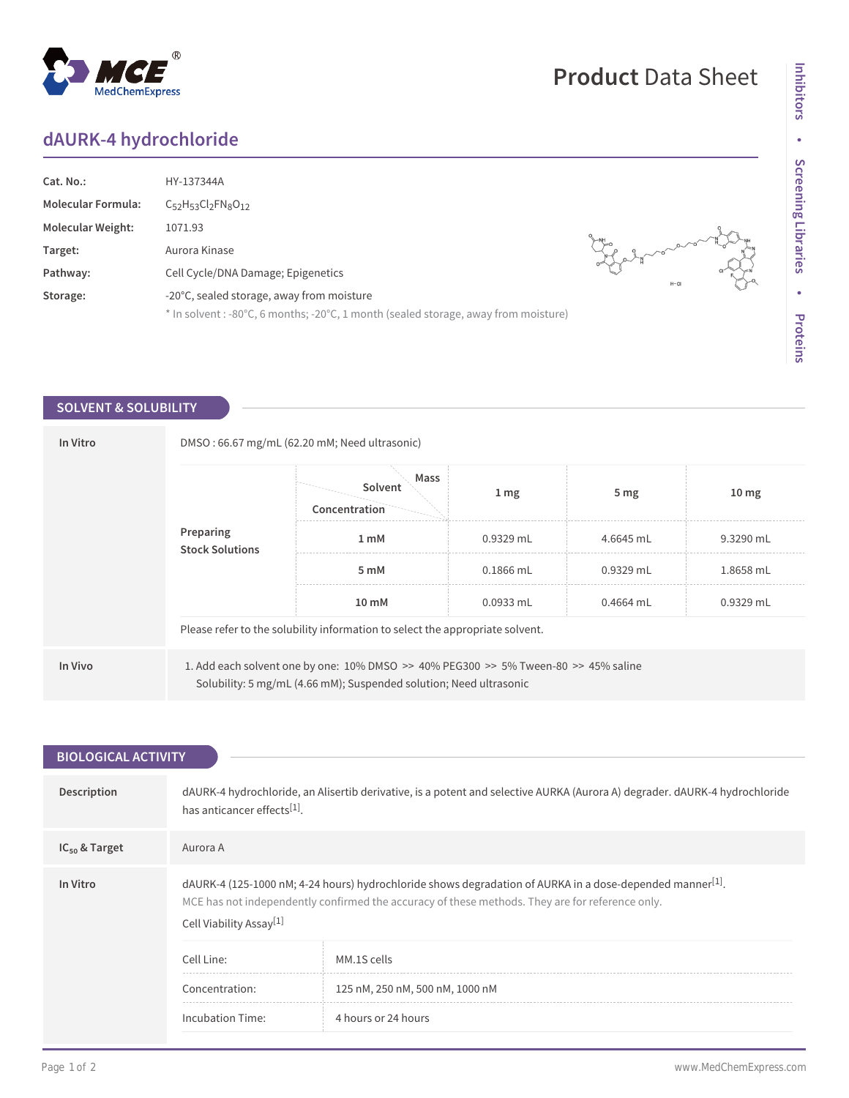## **dAURK-4 hydrochloride**

| Cat. No.:<br><b>Molecular Formula:</b><br><b>Molecular Weight:</b><br>Target:<br>Pathway: | HY-137344A<br>$C_{52}H_{53}Cl_2FN_8O_{12}$<br>1071.93<br>Aurora Kinase<br>Cell Cycle/DNA Damage; Epigenetics                     | $H-CI$ |
|-------------------------------------------------------------------------------------------|----------------------------------------------------------------------------------------------------------------------------------|--------|
| Storage:                                                                                  | -20°C, sealed storage, away from moisture<br>* In solvent : -80°C, 6 months; -20°C, 1 month (sealed storage, away from moisture) |        |

## **SOLVENT & SOLUBILITY**

| In Vitro |                                                                                                                                                                       | DMSO: 66.67 mg/mL (62.20 mM; Need ultrasonic)<br>Mass<br>Solvent |                  |                 |                  |  |
|----------|-----------------------------------------------------------------------------------------------------------------------------------------------------------------------|------------------------------------------------------------------|------------------|-----------------|------------------|--|
|          | Preparing<br><b>Stock Solutions</b>                                                                                                                                   | Concentration                                                    | $1 \, \text{mg}$ | 5 <sub>mg</sub> | 10 <sub>mg</sub> |  |
|          |                                                                                                                                                                       | 1 <sub>m</sub> M                                                 | $0.9329$ mL      | 4.6645 mL       | 9.3290 mL        |  |
|          |                                                                                                                                                                       | 5 mM                                                             | $0.1866$ mL      | $0.9329$ mL     | 1.8658 mL        |  |
|          |                                                                                                                                                                       | 10 mM                                                            | $0.0933$ mL      | $0.4664$ mL     | $0.9329$ mL      |  |
|          | Please refer to the solubility information to select the appropriate solvent.                                                                                         |                                                                  |                  |                 |                  |  |
| In Vivo  | 1. Add each solvent one by one: $10\%$ DMSO >> $40\%$ PEG300 >> $5\%$ Tween-80 >> $45\%$ saline<br>Solubility: 5 mg/mL (4.66 mM); Suspended solution; Need ultrasonic |                                                                  |                  |                 |                  |  |

| <b>BIOLOGICAL ACTIVITY</b> |                                                                                                                                                                                                                                                    |                                 |  |  |  |  |
|----------------------------|----------------------------------------------------------------------------------------------------------------------------------------------------------------------------------------------------------------------------------------------------|---------------------------------|--|--|--|--|
|                            |                                                                                                                                                                                                                                                    |                                 |  |  |  |  |
| Description                | dAURK-4 hydrochloride, an Alisertib derivative, is a potent and selective AURKA (Aurora A) degrader. dAURK-4 hydrochloride<br>has anticancer effects[1].                                                                                           |                                 |  |  |  |  |
| $IC_{50}$ & Target         | Aurora A                                                                                                                                                                                                                                           |                                 |  |  |  |  |
| In Vitro                   | dAURK-4 (125-1000 nM; 4-24 hours) hydrochloride shows degradation of AURKA in a dose-depended manner[1].<br>MCE has not independently confirmed the accuracy of these methods. They are for reference only.<br>Cell Viability Assay <sup>[1]</sup> |                                 |  |  |  |  |
|                            | Cell Line:                                                                                                                                                                                                                                         | MM.1S cells                     |  |  |  |  |
|                            | Concentration:                                                                                                                                                                                                                                     | 125 nM, 250 nM, 500 nM, 1000 nM |  |  |  |  |
|                            | Incubation Time:                                                                                                                                                                                                                                   | 4 hours or 24 hours             |  |  |  |  |